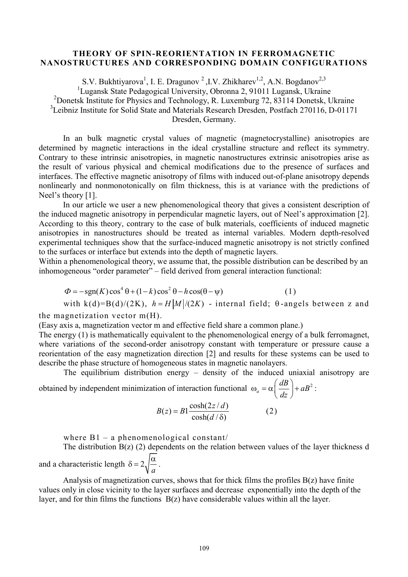## **THEORY OF SPIN-REORIENTATION IN FERROMAGNETIC NANOSTRUCTURES AND CORRESPONDING DOMAIN CONFIGURATIONS**

S.V. Bukhtiyarova<sup>1</sup>, I. E. Dragunov<sup>2</sup>, I.V. Zhikharev<sup>1,2</sup>, A.N. Bogdanov<sup>2,3</sup> <sup>1</sup>Lugansk State Pedagogical University, Obronna 2, 91011 Lugansk, Ukraine <sup>2</sup>Donetsk Institute for Physics and Technology, R. Luxemburg 72, 83114 Donetsk, Ukraine <sup>3</sup>Leibniz Institute for Solid State and Materials Research Dresden, Postfach 270116, D-01171 Dresden, Germany.

In an bulk magnetic crystal values of magnetic (magnetocrystalline) anisotropies are determined by magnetic interactions in the ideal crystalline structure and reflect its symmetry. Contrary to these intrinsic anisotropies, in magnetic nanostructures extrinsic anisotropies arise as the result of various physical and chemical modifications due to the presence of surfaces and interfaces. The effective magnetic anisotropy of films with induced out-of-plane anisotropy depends nonlinearly and nonmonotonically on film thickness, this is at variance with the predictions of Neel's theory [1].

In our article we user a new phenomenological theory that gives a consistent description of the induced magnetic anisotropy in perpendicular magnetic layers, out of Neel's approximation [2]. According to this theory, contrary to the case of bulk materials, coefficients of induced magnetic anisotropies in nanostructures should be treated as internal variables. Modern depth-resolved experimental techniques show that the surface-induced magnetic anisotropy is not strictly confined to the surfaces or interface but extends into the depth of magnetic layers.

Within a phenomenological theory, we assume that, the possible distribution can be described by an inhomogeneous "order parameter" – field derived from general interaction functional:

$$
\Phi = -\operatorname{sgn}(K)\cos^4\theta + (1-k)\cos^2\theta - h\cos(\theta - \psi) \tag{1}
$$

with 
$$
k(d)=B(d)/(2K)
$$
,  $h = H|M|/(2K)$  - internal field;  $\theta$ -angles between z and

the magnetization vector  $m(H)$ .

(Easy axis a, magnetization vector m and effective field share a common plane.)

The energy (1) is mathematically equivalent to the phenomenological energy of a bulk ferromagnet, where variations of the second-order anisotropy constant with temperature or pressure cause a reorientation of the easy magnetization direction [2] and results for these systems can be used to describe the phase structure of homogeneous states in magnetic nanolayers.

The equilibrium distribution energy – density of the induced uniaxial anisotropy are

obtained by independent minimization of interaction functional  $\omega_a = \alpha \left( \frac{dB}{d} \right) + aB^2$ *dz*  $\omega_a = \alpha \left(\frac{dB}{dz}\right) + aB^2$ :

$$
B(z) = B1 \frac{\cosh(2z/d)}{\cosh(d/\delta)}
$$
 (2)

where B1 – a phenomenological constant/

The distribution  $B(z)$  (2) dependents on the relation between values of the layer thickness d and a characteristic length  $\delta = 2$ *a*  $\delta = 2 \sqrt{\frac{\alpha}{\epsilon}}$ .

Analysis of magnetization curves, shows that for thick films the profiles B(z) have finite values only in close vicinity to the layer surfaces and decrease exponentially into the depth of the layer, and for thin films the functions B(z) have considerable values within all the layer.